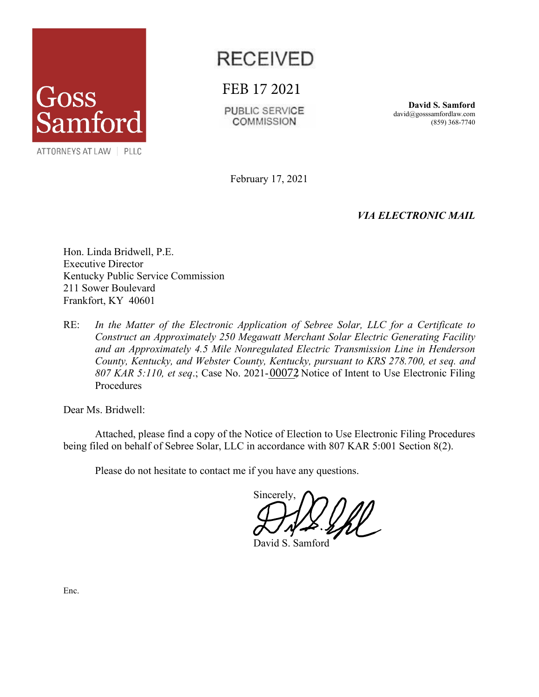

## **RECEIVED**

FEB 17 2021

PUBLIC SERVICE **COMMISSION** 

**David S. Samford** david@gosssamfordlaw.com (859) 368-7740

February 17, 2021

*VIA ELECTRONIC MAIL*

Hon. Linda Bridwell, P.E. Executive Director Kentucky Public Service Commission 211 Sower Boulevard Frankfort, KY 40601

RE: *In the Matter of the Electronic Application of Sebree Solar, LLC for a Certificate to Construct an Approximately 250 Megawatt Merchant Solar Electric Generating Facility and an Approximately 4.5 Mile Nonregulated Electric Transmission Line in Henderson County, Kentucky, and Webster County, Kentucky, pursuant to KRS 278.700, et seq. and*  807 KAR 5:110, et seq.; Case No. 2021-00072 Notice of Intent to Use Electronic Filing Procedures

Dear Ms. Bridwell:

Attached, please find a copy of the Notice of Election to Use Electronic Filing Procedures being filed on behalf of Sebree Solar, LLC in accordance with 807 KAR 5:001 Section 8(2).

Please do not hesitate to contact me if you have any questions.

Sincerely,

David S. Samford

Enc.